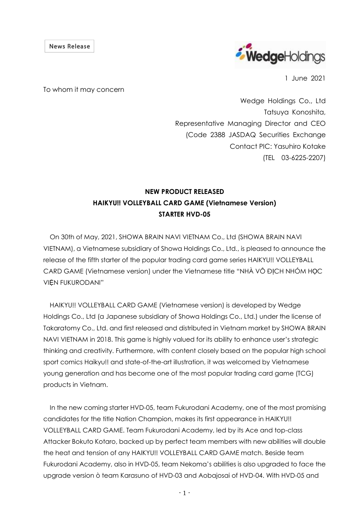**News Release** 



1 June 2021

To whom it may concern

Wedge Holdings Co., Ltd Tatsuya Konoshita, Representative Managing Director and CEO (Code 2388 JASDAQ Securities Exchange Contact PIC: Yasuhiro Kotake (TEL 03-6225-2207)

## **NEW PRODUCT RELEASED HAIKYU!! VOLLEYBALL CARD GAME (Vietnamese Version) STARTER HVD-05**

On 30th of May, 2021, SHOWA BRAIN NAVI VIETNAM Co., Ltd (SHOWA BRAIN NAVI VIETNAM), a Vietnamese subsidiary of Showa Holdings Co., Ltd., is pleased to announce the release of the fifth starter of the popular trading card game series HAIKYU!! VOLLEYBALL CARD GAME (Vietnamese version) under the Vietnamese title "NHÀ VÔ ĐỊCH NHÓM HỌC VIỆN FUKURODANI"

HAIKYU!! VOLLEYBALL CARD GAME (Vietnamese version) is developed by Wedge Holdings Co., Ltd (a Japanese subsidiary of Showa Holdings Co., Ltd.) under the license of Takaratomy Co., Ltd. and first released and distributed in Vietnam market by SHOWA BRAIN NAVI VIETNAM in 2018. This game is highly valued for its ability to enhance user's strategic thinking and creativity. Furthermore, with content closely based on the popular high school sport comics Haikyu!! and state-of-the-art illustration, it was welcomed by Vietnamese young generation and has become one of the most popular trading card game (TCG) products in Vietnam.

In the new coming starter HVD-05, team Fukurodani Academy, one of the most promising candidates for the title Nation Champion, makes its first appearance in HAIKYU!! VOLLEYBALL CARD GAME. Team Fukurodani Academy, led by its Ace and top-class Attacker Bokuto Kotaro, backed up by perfect team members with new abilities will double the heat and tension of any HAIKYU!! VOLLEYBALL CARD GAME match. Beside team Fukurodani Academy, also in HVD-05, team Nekoma's abilities is also upgraded to face the upgrade version ò team Karasuno of HVD-03 and Aobajosai of HVD-04. With HVD-05 and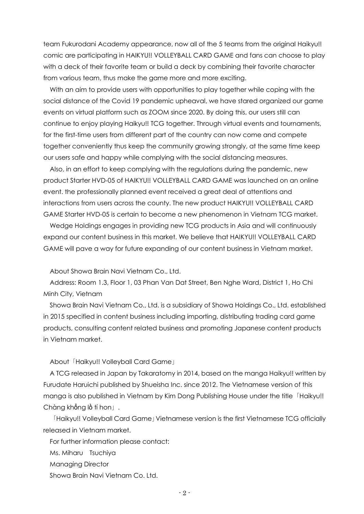team Fukurodani Academy appearance, now all of the 5 teams from the original Haikyu!! comic are participating in HAIKYU!! VOLLEYBALL CARD GAME and fans can choose to play with a deck of their favorite team or build a deck by combining their favorite character from various team, thus make the game more and more exciting.

With an aim to provide users with opportunities to play together while coping with the social distance of the Covid 19 pandemic upheaval, we have stared organized our game events on virtual platform such as ZOOM since 2020. By doing this, our users still can continue to enjoy playing Haikyu!! TCG together. Through virtual events and tournaments, for the first-time users from different part of the country can now come and compete together conveniently thus keep the community growing strongly, at the same time keep our users safe and happy while complying with the social distancing measures.

Also, in an effort to keep complying with the regulations during the pandemic, new product Starter HVD-05 of HAIKYU!! VOLLEYBALL CARD GAME was launched on an online event. the professionally planned event received a great deal of attentions and interactions from users across the county. The new product HAIKYU!! VOLLEYBALL CARD GAME Starter HVD-05 is certain to become a new phenomenon in Vietnam TCG market.

Wedge Holdings engages in providing new TCG products in Asia and will continuously expand our content business in this market. We believe that HAIKYU!! VOLLEYBALL CARD GAME will pave a way for future expanding of our content business in Vietnam market.

## About Showa Brain Navi Vietnam Co., Ltd.

Address: Room 1.3, Floor 1, 03 Phan Van Dat Street, Ben Nghe Ward, District 1, Ho Chi Minh City, Vietnam

Showa Brain Navi Vietnam Co., Ltd. is a subsidiary of Showa Holdings Co., Ltd. established in 2015 specified in content business including importing, distributing trading card game products, consulting content related business and promoting Japanese content products in Vietnam market.

## About「Haikyu!! Volleyball Card Game」

A TCG released in Japan by Takaratomy in 2014, based on the manga Haikyu!! written by Furudate Haruichi published by Shueisha Inc. since 2012. The Vietnamese version of this manga is also published in Vietnam by Kim Dong Publishing House under the title 「Haikyu!! Chàng khổng lồ tí hon」.

「Haikyu!! Volleyball Card Game」Vietnamese version is the first Vietnamese TCG officially released in Vietnam market.

For further information please contact:

Ms. Miharu Tsuchiya

Managing Director

Showa Brain Navi Vietnam Co. Ltd.